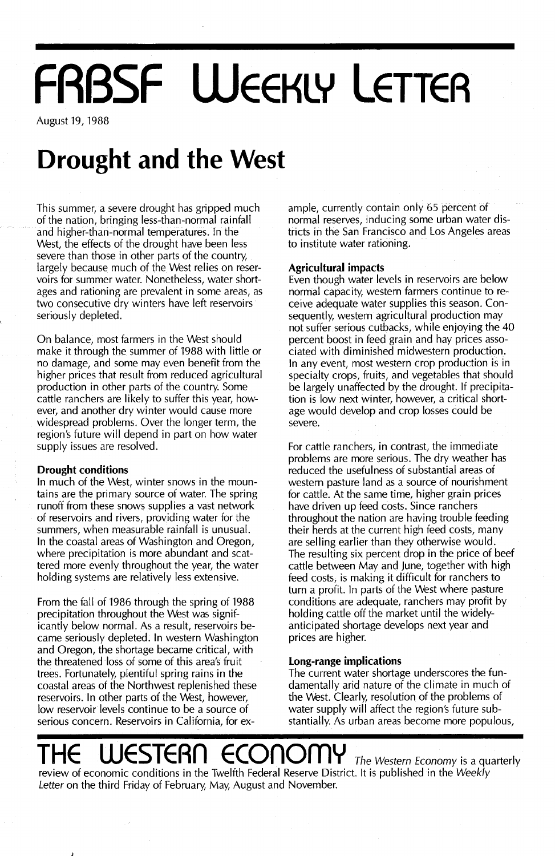# **FRBSF WEEKLY LETTER**

August 19, 1988

# **Drought and the West**

This summer, a severe drought has gripped much of the nation, bringing less-than-normal rainfall and higher-than-normal temperatures. In the West, the effects of the drought have been less severe than those in other parts of the country, largely because much of the West relies on reservoirs for summer water. Nonetheless, water shortages and rationing are prevalent in some areas, as two consecutive dry winters have left reservoirs seriously depleted.

On balance, most farmers in the West should make it through the summer of 1988 with little or no damage, and some may even benefit from the higher prices that result from reduced agricultural production in other parts of the country. Some cattle ranchers are likely to suffer this year, however, and another dry winter would cause more widespread problems. Over the longer term, the region's future will depend in part on how water supply issues are resolved.

### **Drought conditions**

In much of the West, winter snows in the mountains are the primary source of water. The spring runoff from these snows supplies a vast network of reservoirs and rivers, providing water for the summers, when measurable rainfall is unusual. In the coastal areas of Washington and Oregon, where precipitation is more abundant and scattered more evenly throughout the year, the water holding systems are relatively less extensive.

From the fall of 1986 through the spring of 1988 precipitation throughout the West was significantly below normal. As a result, reservoirs became seriously depleted. In western Washington and Oregon, the shortage became critical, with the threatened loss of some of this area's fruit trees. Fortunately, plentiful spring rains in the coastal areas of the Northwest replenished these reservoirs. In other parts of the West, however, low reservoir levels continue to be a source of serious concern. Reservoirs in California, for ex-

ample, currently contain only 65 percent of normal reserves, inducing some urban water districts in the San Francisco and Los Angeles areas to institute water rationing.

## **Agricultural impacts**

Even though water levels in reservoirs are below normal capacity, western farmers continue to receive adequate water supplies this season. Consequently, western agricultural production may not suffer serious cutbacks, while enjoying the 40 percent boost in feed grain and hay prices associated with diminished midwestern production. In any event, most western crop production is in specialty crops, fruits, and vegetables that should be largely unaffected by the drought. If precipitation is low next winter, however, a critical shortage would develop and crop losses could be severe.

For cattle ranchers, in contrast, the immediate problems are more serious. The dry weather has reduced the usefulness of substantial areas of western pasture land as a source of nourishment for cattle. At the same time, higher grain prices have driven up feed costs. Since ranchers throughout the nation are having trouble feeding their herds at the current high feed costs, many are selling earlier than they otherwise would. The resulting six percent drop in the price of beef cattle between May and June, together with high feed costs, is making it difficult for ranchers to turn a profit. In parts of the West where pasture conditions are adequate, ranchers may profit by holding cattle off the market until the widelyanticipated shortage develops next year and prices are higher.

## **Long-range implications**

The current water shortage underscores the fundamentally arid nature of the climate in much of the West. Clearly, resolution of the problems of water supply will affect the region's future substantially. As urban areas become more populous,

# **THE STERN ECONOMY** The Western Economy is a quarterly

review of economic conditions in the Twelfth Federal Reserve District. It is published in the Weekly Letter on the third Friday of February, May, August and November.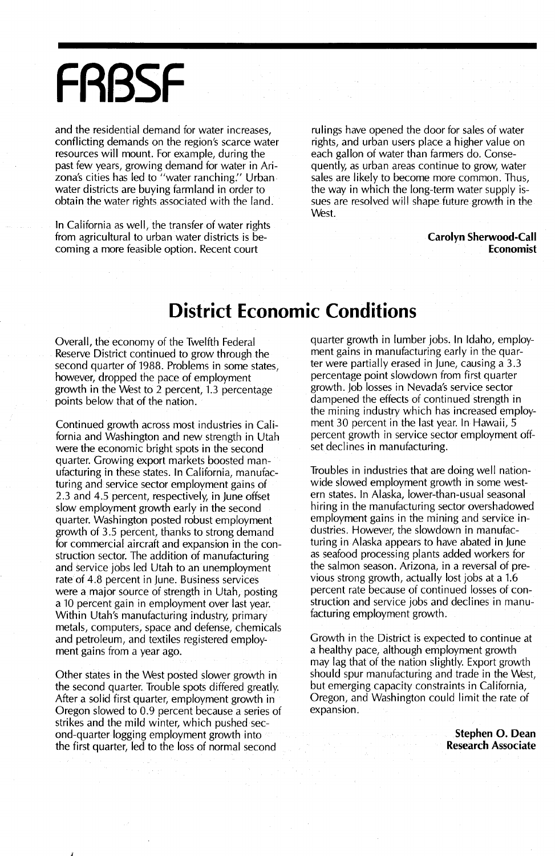# **FABSF**

and the residential demand for water increases, conflicting demands on the region's scarce water resources will mount. For example, during the past few years, growing demand for water in Arizona's cities has led to "water ranching:' Urban water districts are buying farmland in order to obtain the water rights associated with the land.

In California as well, the transfer of water rights from agricultural to urban water districts is becoming a more feasible option. Recent court

rulings have opened the door for sales of water rights, and urban users place a higher value on each gallon of water than farmers do. Consequently, as urban areas continue to grow, water sales are likely to become more common. Thus, the way in which the long-term water supply issues are resolved will shape future growth in the West.

> **Carolyn Sherwood-Call Economist**

## **District Economic Conditions**

Overall, the economy of the Twelfth Federal Reserve District continued to grow through the second quarter of 1988. Problems in some states, however, dropped the pace of employment growth in the West to 2 percent, 1.3 percentage points below that of the nation.

Continued growth across most industries in California and Washington and new strength in Utah were the economic bright spots in the second quarter. Growing export markets boosted manufacturing in these states. In California, manufacturing and service sector employment gains of 2.3 and 4.5 percent, respectively, in june offset slow employment growth early in the second quarter. Washington posted robust employment growth of 3.5 percent, thanks to strong demand for commercial aircraft and expansion in the construction sector. The addition of manufacturing and service jobs led Utah to an unemployment rate of 4.8 percent in june. Business services were a major source of strength in Utah, posting a 10 percent gain in employment over last year. Within Utah's manufacturing industry, primary metals, computers, space and defense, chemicals and petroleum, and textiles registered employment gains from a year ago.

Other states in the West posted slower growth in the second quarter. Trouble spots differed greatly. After a solid first quarter, employment growth in Oregon slowed to 0.9 percent because a series of strikes and the mild winter, which pushed second-quarter logging employment growth into the first quarter, led to the loss of normal second

J

quarter growth in lumber jobs. In Idaho, employment gains in manufacturing early in the quarter were partially erased in june, causing a 3.3 percentage point slowdown from first quarter growth. job losses in Nevada's service sector dampened the effects of continued strength in the mining industry which has increased employment 30 percent in the last year. In Hawaii, 5 percent growth in service sector employment offset declines in manufacturing.

Troubles in industries that are doing well nationwide slowed employment growth in some western states. In Alaska, lower-than-usual seasonal hiring in the manufacturing sector overshadowed employment gains in the mining and service industries. However, the slowdown in manufacturing ih Alaska appears to have abated in June as seafood processing plants added workers for the salmon season. Arizona, in a reversal of previous strong growth, actually lost jobs at a 1.6 percent rate because of continued losses of construction and service jobs and declines in manufacturing employment growth.

Growth in the District is expected to continue at a healthy pace, although employment growth may lag that of the nation slightly. Export growth should spur manufacturing and trade in the West, but emerging capacity constraints in California, Oregon, and Washington could limit the rate of expansion.

> **Stephen o. Dean Research Associate**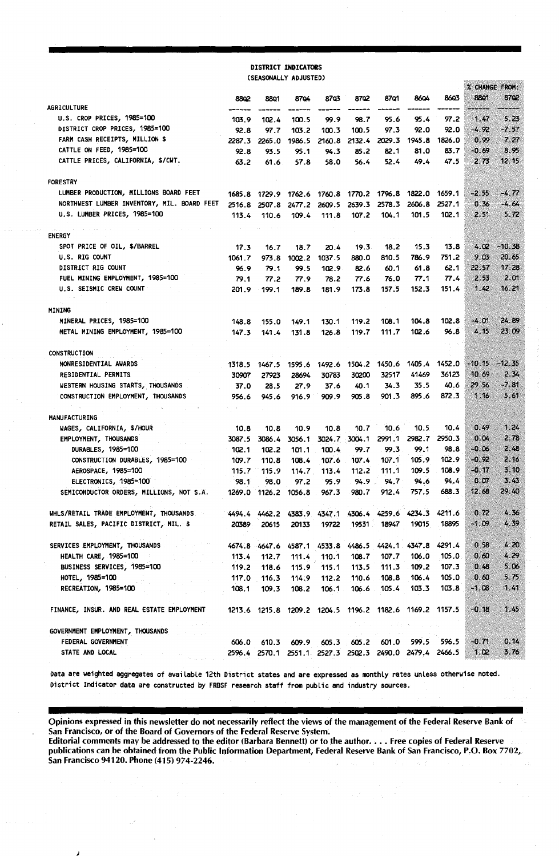### DISTRICT INDICATORS (SEASONALLY ADJUSTED)

|                                             |        |                      |                                                         |             |               |                      |        |        | % CHANGE FROM: |          |
|---------------------------------------------|--------|----------------------|---------------------------------------------------------|-------------|---------------|----------------------|--------|--------|----------------|----------|
|                                             | 8802   | 8801                 | 8704                                                    | 8703        | 8702          | 87Q1                 | 8604   | 8603   | 8801           | 87Q2     |
| AGRICULTURE                                 |        |                      |                                                         |             |               |                      |        |        |                |          |
| U.S. CROP PRICES, 1985=100                  | 103.9  | 102.4                | 100.5                                                   | 99.9        | 98.7          | 95.6                 | 95.4   | 97.2   | 1.47           | 5.25     |
| DISTRICT CROP PRICES, 1985=100              | 92.8   | 97.7                 | 103.2                                                   | 100.3       | 100.5         | 97.3                 | 92.0   | 92.0   | $-4.92$        | -7.57    |
| FARM CASH RECEIPTS, MILLION \$              | 2287.3 | 2265.0               | 1986.5                                                  | 2160.8      | 2132.4        | 2029.3               | 1945.8 | 1826.0 | 0.99           | 7.27     |
| CATTLE ON FEED, 1985=100                    | 92.8   | 93.5                 | 95.1                                                    | 94.3        | 85.2          | 82.1                 | 81.0   | 83.7   | $-0.69$        | 8.95     |
| CATTLE PRICES, CALIFORNIA, \$/CWT.          | 63.2   | 61.6                 | 57.8                                                    | 58.0        | 56.4          | 52.4                 | 49.4   | 47.5   | 2.73           | 12.15    |
| <b>FORESTRY</b>                             |        |                      |                                                         |             |               |                      |        |        |                |          |
| LUMBER PRODUCTION, MILLIONS BOARD FEET      | 1685.8 | 1729.9               | 1762.6                                                  | 1760.8      | 1770.2        | 1796.8               | 1822.0 | 1659.1 | $-2.55$        | -4.77    |
| NORTHWEST LUMBER INVENTORY, MIL. BOARD FEET | 2516.8 | 2507.8               | 2477.2                                                  | 2609.5      | 2639.3        | 2578.3               | 2606.8 | 2527.1 | 0.36           | $-4.64$  |
| U.S. LUMBER PRICES, 1985=100                | 113.4  | 110.6                | 109.4                                                   | 111.8       | 107.2         | 104.1                | 101.5  | 102.1  | 2.51           | 5.72     |
| <b>ENERGY</b>                               |        |                      |                                                         |             |               |                      |        |        |                |          |
| SPOT PRICE OF OIL, \$/BARREL                | 17.3   | 16.7                 | 18.7                                                    | 20.4        | 19.3          | 18.2                 | 15.3   | 13.8   | 4.02           | $-10.38$ |
| U.S. RIG COUNT                              | 1061.7 | 973.8                | 1002.2                                                  | 1037.5      | 880.0         | 810.5                | 786.9  | 751.2  | 9.03           | 20.65    |
| DISTRICT RIG COUNT                          | 96.9   | 79.1                 | 99.5                                                    | 102.9       | 82.6          | 60.1                 | 61.8   | 62.1   | 22.57          | 17.28    |
| FUEL MINING EMPLOYMENT, 1985=100            | 79.1   | 77.2                 | 77.9                                                    | 78.2        | 77.6          | 76.0                 | 77.1   | 77.4   | 2.53           | 2.01     |
| U.S. SEISMIC CREW COUNT                     | 201.9  | 199.1                | 189.8                                                   | 181.9       | 173.8         | 157.5                | 152.3  | 151.4  | 1.42           | 16.21    |
|                                             |        |                      |                                                         |             |               |                      |        |        |                |          |
| MINING                                      |        |                      |                                                         |             |               |                      |        |        |                |          |
| MINERAL PRICES, 1985=100                    | 148.8  | 155.0                | 149.1                                                   | 130.1       | 119.2         | 108.1                | 104.8  | 102.8  | -4.01          | 24.89    |
| METAL MINING EMPLOYMENT, 1985=100           | 147.3  | 141.4                | 131.8                                                   | 126.8       | 119.7         | 111.7                | 102.6  | 96.8   | 4.15           | 23.09    |
|                                             |        |                      |                                                         |             |               |                      |        |        |                |          |
| CONSTRUCTION                                |        |                      |                                                         |             |               |                      |        |        |                |          |
| NONRESIDENTIAL AWARDS                       | 1318.5 | 1467.5               | 1595.6                                                  | 1492.6      |               | 1504.2 1450.6 1405.4 |        | 1452.0 | $-10.15$       | $-12.35$ |
| RESIDENTIAL PERMITS                         | 30907  | 27923                | 28694                                                   | 30783       | 30200         | 32517                | 41469  | 36123  | 10.69          | 2.34     |
| WESTERN HOUSING STARTS, THOUSANDS           | 37.0   | 28.5                 | 27.9                                                    | 37.6        | 40.1          | 34.3                 | 35.5   | 40.6   | 29.56          | $-7.81$  |
| CONSTRUCTION EMPLOYMENT, THOUSANDS          | 956.6  | 945.6                | 916.9                                                   | 909.9       | 905.8         | 901.3                | 895.6  | 872.3  | 1.16           | 5.61     |
| MANUFACTURING                               |        |                      |                                                         |             |               |                      |        |        |                |          |
| WAGES, CALIFORNIA, \$/HOUR                  | 10.8   | 10.8                 | 10.9                                                    | 10.8        | 10.7          | 10.6                 | 10.5   | 10.4   | 0.49           | 1.24     |
| EMPLOYMENT, THOUSANDS                       | 3087.5 | 3086.4               | 3056.1                                                  |             | 3024.7 3004.1 | 2991.1               | 2982.7 | 2950.3 | 0.04           | 2.78     |
| DURABLES, 1985=100                          | 102.1  | 102.2                | 101.1                                                   | 100.4       | 99.7          | 99.3                 | 99.1   | 98.8   | $-0.06$        | 2.48     |
| CONSTRUCTION DURABLES, 1985=100             | 109.7  | 110.8                | 108.4                                                   | 107.6       | 107.4         | 107.1                | 105.9  | 102.9  | $-0.92$        | 2.16     |
| AEROSPACE, 1985=100                         | 115.7  | 115.9                | 114.7                                                   | 113.4       | 112.2         | 111.1                | 109.5  | 108.9  | -0.17          | 3.10     |
| ELECTRONICS, 1985=100                       | 98.1   | 98.0                 | 97.2                                                    | 95.9        | 94.9          | 94.7                 | 94.6   | 94.4   | 0.07           | 3.43     |
| SEMICONDUCTOR ORDERS, MILLIONS, NOT S.A.    |        | 1269.0 1126.2 1056.8 |                                                         | 967.3       | 980.7         | 912.4                | 757.5  | 688.3  | 12.68          | 29.40    |
| WHLS/RETAIL TRADE EMPLOYMENT, THOUSANDS     | 4494.4 | 4462.2               | 4383.9                                                  | 4347.1      | 4306.4        | 4259.6               | 4234.3 | 4211.6 | 0.72           | 4.36     |
| RETAIL SALES, PACIFIC DISTRICT, MIL. \$     | 20389  | 20615                | 20133                                                   | 19722       | 19531         | 18947                | 19015  | 18895  | $-1.09$        | 4.39     |
|                                             |        |                      |                                                         |             |               |                      |        |        |                |          |
| SERVICES EMPLOYMENT, THOUSANDS              | 4674.8 | 4647.6               | 4587.1                                                  | 4533.8      | 4486.5        | 4424.1               | 4347.8 | 4291.4 | 0.58           | 4.20     |
| <b>HEALTH CARE, 1985=100</b>                | 113.4  | 112.7                | 111.4                                                   | 110.1       | 108.7         | 107.7                | 106.0  | 105.0  | 0.60           | 4.29     |
| BUSINESS SERVICES, 1985=100                 | 119.2  | 118.6                |                                                         | 115.9 115.1 | 113.5         | 111.3 109.2          |        | 107.3  | 0.48           | 5,06     |
| HOTEL, 1985=100                             | 117.0  | 116.3                | 114.9                                                   | 112.2       |               | 110.6 108.8          | 106.4  | 105.0  | 0.60           | 5.75     |
| RECREATION, 1985=100                        | 108.1  | 109.3                | 108.2                                                   | 106.1       | 106.6         | 105.4                | 103.3  | 103.8  | $-1.08$        | 1.41     |
|                                             |        |                      |                                                         |             |               |                      |        |        |                |          |
| FINANCE, INSUR. AND REAL ESTATE EMPLOYMENT  |        |                      | 1213.6 1215.8 1209.2 1204.5 1196.2 1182.6 1169.2 1157.5 |             |               |                      |        |        | $-0.18$        | 1.45     |
| GOVERNMENT EMPLOYMENT, THOUSANDS            |        |                      |                                                         |             |               |                      |        |        |                |          |
| FEDERAL GOVERNMENT                          | 606.0  |                      | 610.3 609.9                                             |             | 605.3 605.2   | 601.0                | 599.5  | 596.5  | $-0.71$        | 0.14     |
| STATE AND LOCAL                             |        |                      | 2596.4 2570.1 2551.1 2527.3 2502.3 2490.0 2479.4 2466.5 |             |               |                      |        |        | 1.02           | 3.76     |
|                                             |        |                      |                                                         |             |               |                      |        |        |                |          |

Data are weighted aggregates of available 12th District states and are expressed as monthly rates unless otherwise noted. District Indicator data are constructed by FRBSF research staff from public and industry sources.

Opinions expressed in this newsletter do not necessarily reflect the views of the management of the Federal Reserve Bank of San Francisco, or of the Board of Governors of the Federal Reserve System.

Editorial comments may be addressed to the editor (Barbara Bennett) or to the author••••• Free copies of Federal Reserve publications can be obtained from the Public Information Department, Federal Reserve Bank of San Francisco, P.O. Box 7702, San Francisco 94120. Phone (415) 974-2246.